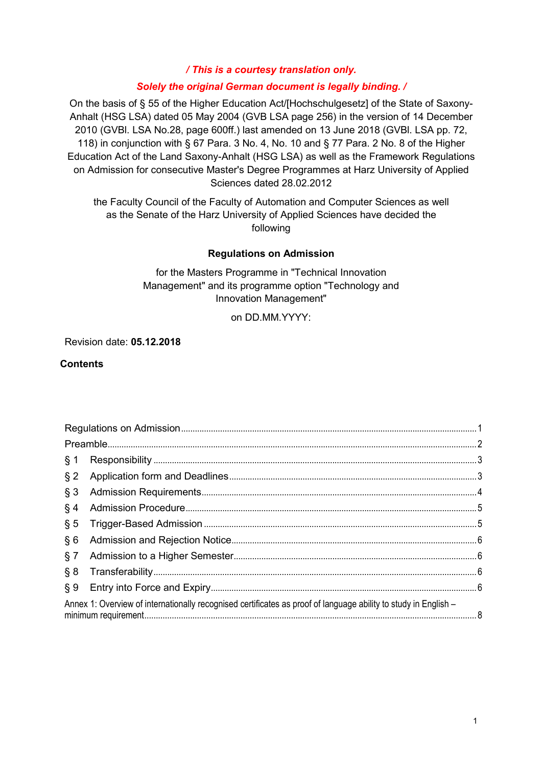*/ This is a courtesy translation only.*

#### *Solely the original German document is legally binding. /*

On the basis of § 55 of the Higher Education Act/[Hochschulgesetz] of the State of Saxony-Anhalt (HSG LSA) dated 05 May 2004 (GVB LSA page 256) in the version of 14 December 2010 (GVBl. LSA No.28, page 600ff.) last amended on 13 June 2018 (GVBl. LSA pp. 72, 118) in conjunction with § 67 Para. 3 No. 4, No. 10 and § 77 Para. 2 No. 8 of the Higher Education Act of the Land Saxony-Anhalt (HSG LSA) as well as the Framework Regulations on Admission for consecutive Master's Degree Programmes at Harz University of Applied Sciences dated 28.02.2012

<span id="page-0-0"></span>the Faculty Council of the Faculty of Automation and Computer Sciences as well as the Senate of the Harz University of Applied Sciences have decided the following

#### **Regulations on Admission**

for the Masters Programme in "Technical Innovation Management" and its programme option "Technology and Innovation Management"

on DD.MM.YYYY:

#### Revision date: **05.12.2018**

#### **Contents**

| § 1                                                                                                             |  |  |
|-----------------------------------------------------------------------------------------------------------------|--|--|
| $§$ 2                                                                                                           |  |  |
| § 3                                                                                                             |  |  |
| § 4                                                                                                             |  |  |
| § 5                                                                                                             |  |  |
| § 6                                                                                                             |  |  |
| § 7                                                                                                             |  |  |
| § 8                                                                                                             |  |  |
|                                                                                                                 |  |  |
| Annex 1: Overview of internationally recognised certificates as proof of language ability to study in English - |  |  |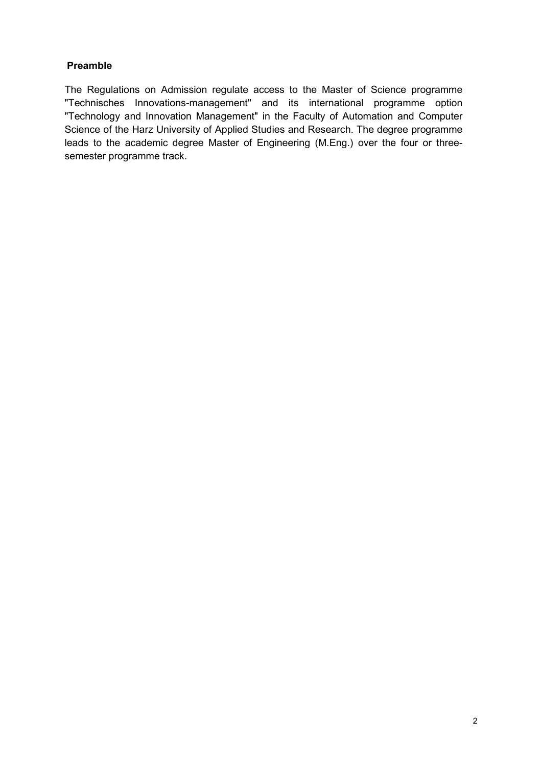#### <span id="page-1-0"></span>**Preamble**

The Regulations on Admission regulate access to the Master of Science programme "Technisches Innovations-management" and its international programme option "Technology and Innovation Management" in the Faculty of Automation and Computer Science of the Harz University of Applied Studies and Research. The degree programme leads to the academic degree Master of Engineering (M.Eng.) over the four or threesemester programme track.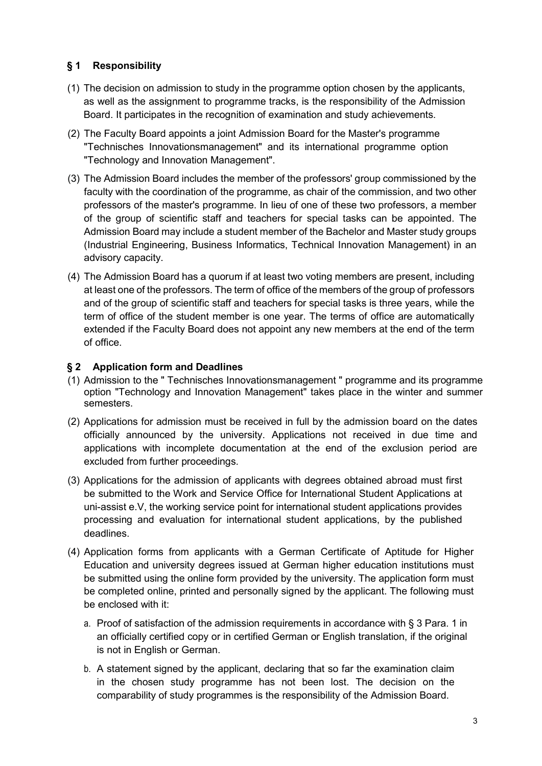# <span id="page-2-0"></span>**§ 1 Responsibility**

- (1) The decision on admission to study in the programme option chosen by the applicants, as well as the assignment to programme tracks, is the responsibility of the Admission Board. It participates in the recognition of examination and study achievements.
- (2) The Faculty Board appoints a joint Admission Board for the Master's programme "Technisches Innovationsmanagement" and its international programme option "Technology and Innovation Management".
- (3) The Admission Board includes the member of the professors' group commissioned by the faculty with the coordination of the programme, as chair of the commission, and two other professors of the master's programme. In lieu of one of these two professors, a member of the group of scientific staff and teachers for special tasks can be appointed. The Admission Board may include a student member of the Bachelor and Master study groups (Industrial Engineering, Business Informatics, Technical Innovation Management) in an advisory capacity.
- (4) The Admission Board has a quorum if at least two voting members are present, including at least one of the professors. The term of office of the members of the group of professors and of the group of scientific staff and teachers for special tasks is three years, while the term of office of the student member is one year. The terms of office are automatically extended if the Faculty Board does not appoint any new members at the end of the term of office.

# <span id="page-2-1"></span>**§ 2 Application form and Deadlines**

- (1) Admission to the " Technisches Innovationsmanagement " programme and its programme option "Technology and Innovation Management" takes place in the winter and summer semesters.
- (2) Applications for admission must be received in full by the admission board on the dates officially announced by the university. Applications not received in due time and applications with incomplete documentation at the end of the exclusion period are excluded from further proceedings.
- (3) Applications for the admission of applicants with degrees obtained abroad must first be submitted to the Work and Service Office for International Student Applications at uni-assist e.V, the working service point for international student applications provides processing and evaluation for international student applications, by the published deadlines.
- (4) Application forms from applicants with a German Certificate of Aptitude for Higher Education and university degrees issued at German higher education institutions must be submitted using the online form provided by the university. The application form must be completed online, printed and personally signed by the applicant. The following must be enclosed with it:
	- a. Proof of satisfaction of the admission requirements in accordance with § 3 Para. 1 in an officially certified copy or in certified German or English translation, if the original is not in English or German.
	- b. A statement signed by the applicant, declaring that so far the examination claim in the chosen study programme has not been lost. The decision on the comparability of study programmes is the responsibility of the Admission Board.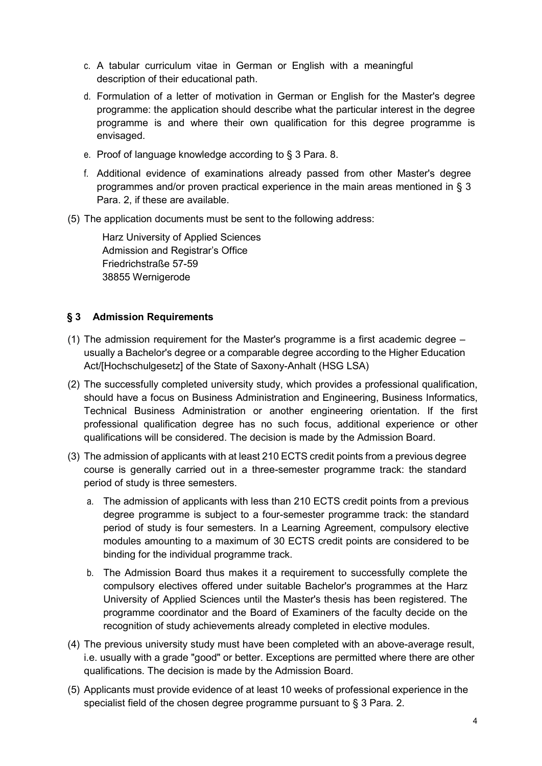- c. A tabular curriculum vitae in German or English with a meaningful description of their educational path.
- d. Formulation of a letter of motivation in German or English for the Master's degree programme: the application should describe what the particular interest in the degree programme is and where their own qualification for this degree programme is envisaged.
- e. Proof of language knowledge according to § 3 Para. 8.
- f. Additional evidence of examinations already passed from other Master's degree programmes and/or proven practical experience in the main areas mentioned in § 3 Para. 2, if these are available.
- (5) The application documents must be sent to the following address:

Harz University of Applied Sciences Admission and Registrar's Office Friedrichstraße 57-59 38855 Wernigerode

# <span id="page-3-0"></span>**§ 3 Admission Requirements**

- (1) The admission requirement for the Master's programme is a first academic degree usually a Bachelor's degree or a comparable degree according to the Higher Education Act/[Hochschulgesetz] of the State of Saxony-Anhalt (HSG LSA)
- (2) The successfully completed university study, which provides a professional qualification, should have a focus on Business Administration and Engineering, Business Informatics, Technical Business Administration or another engineering orientation. If the first professional qualification degree has no such focus, additional experience or other qualifications will be considered. The decision is made by the Admission Board.
- (3) The admission of applicants with at least 210 ECTS credit points from a previous degree course is generally carried out in a three-semester programme track: the standard period of study is three semesters.
	- a. The admission of applicants with less than 210 ECTS credit points from a previous degree programme is subject to a four-semester programme track: the standard period of study is four semesters. In a Learning Agreement, compulsory elective modules amounting to a maximum of 30 ECTS credit points are considered to be binding for the individual programme track.
	- b. The Admission Board thus makes it a requirement to successfully complete the compulsory electives offered under suitable Bachelor's programmes at the Harz University of Applied Sciences until the Master's thesis has been registered. The programme coordinator and the Board of Examiners of the faculty decide on the recognition of study achievements already completed in elective modules.
- (4) The previous university study must have been completed with an above-average result, i.e. usually with a grade "good" or better. Exceptions are permitted where there are other qualifications. The decision is made by the Admission Board.
- (5) Applicants must provide evidence of at least 10 weeks of professional experience in the specialist field of the chosen degree programme pursuant to § 3 Para. 2.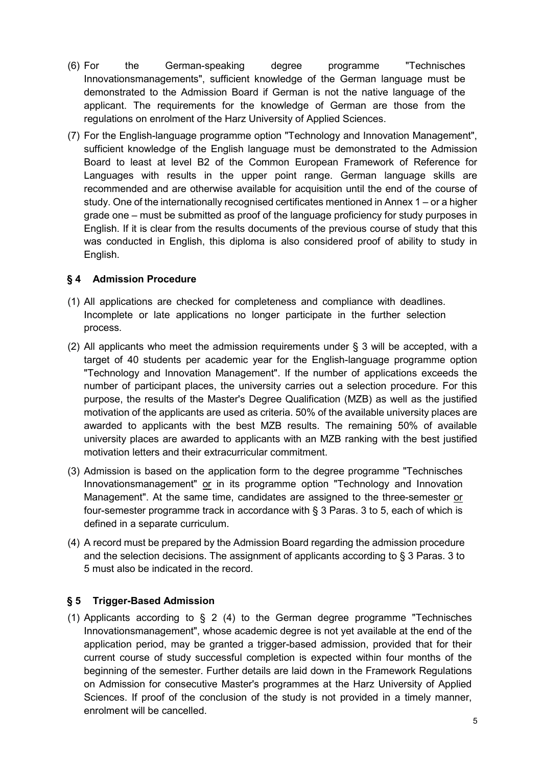- (6) For the German-speaking degree programme "Technisches Innovationsmanagements", sufficient knowledge of the German language must be demonstrated to the Admission Board if German is not the native language of the applicant. The requirements for the knowledge of German are those from the regulations on enrolment of the Harz University of Applied Sciences.
- (7) For the English-language programme option "Technology and Innovation Management", sufficient knowledge of the English language must be demonstrated to the Admission Board to least at level B2 of the Common European Framework of Reference for Languages with results in the upper point range. German language skills are recommended and are otherwise available for acquisition until the end of the course of study. One of the internationally recognised certificates mentioned in Annex 1 – or a higher grade one – must be submitted as proof of the language proficiency for study purposes in English. If it is clear from the results documents of the previous course of study that this was conducted in English, this diploma is also considered proof of ability to study in English.

# <span id="page-4-0"></span>**§ 4 Admission Procedure**

- (1) All applications are checked for completeness and compliance with deadlines. Incomplete or late applications no longer participate in the further selection process.
- (2) All applicants who meet the admission requirements under  $\S$  3 will be accepted, with a target of 40 students per academic year for the English-language programme option "Technology and Innovation Management". If the number of applications exceeds the number of participant places, the university carries out a selection procedure. For this purpose, the results of the Master's Degree Qualification (MZB) as well as the justified motivation of the applicants are used as criteria. 50% of the available university places are awarded to applicants with the best MZB results. The remaining 50% of available university places are awarded to applicants with an MZB ranking with the best justified motivation letters and their extracurricular commitment.
- (3) Admission is based on the application form to the degree programme "Technisches Innovationsmanagement" or in its programme option "Technology and Innovation Management". At the same time, candidates are assigned to the three-semester or four-semester programme track in accordance with § 3 Paras. 3 to 5, each of which is defined in a separate curriculum.
- (4) A record must be prepared by the Admission Board regarding the admission procedure and the selection decisions. The assignment of applicants according to § 3 Paras. 3 to 5 must also be indicated in the record.

#### <span id="page-4-1"></span>**§ 5 Trigger-Based Admission**

(1) Applicants according to § 2 (4) to the German degree programme "Technisches Innovationsmanagement", whose academic degree is not yet available at the end of the application period, may be granted a trigger-based admission, provided that for their current course of study successful completion is expected within four months of the beginning of the semester. Further details are laid down in the Framework Regulations on Admission for consecutive Master's programmes at the Harz University of Applied Sciences. If proof of the conclusion of the study is not provided in a timely manner, enrolment will be cancelled.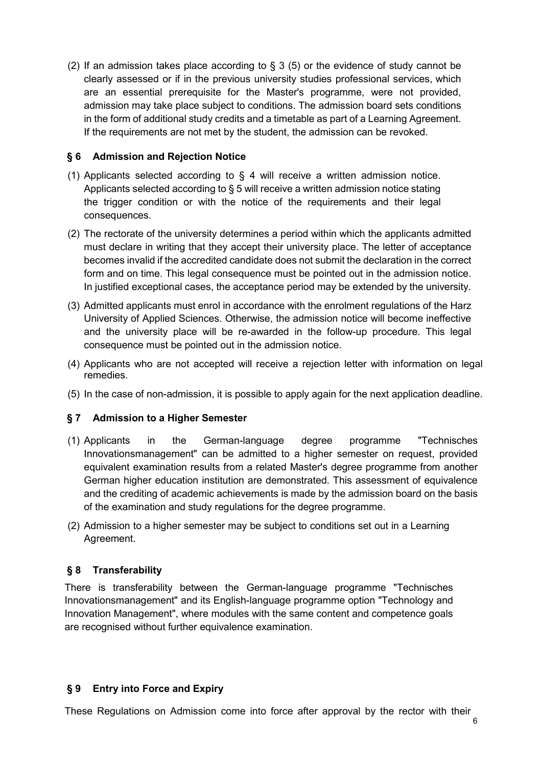(2) If an admission takes place according to  $\S$  3 (5) or the evidence of study cannot be clearly assessed or if in the previous university studies professional services, which are an essential prerequisite for the Master's programme, were not provided, admission may take place subject to conditions. The admission board sets conditions in the form of additional study credits and a timetable as part of a Learning Agreement. If the requirements are not met by the student, the admission can be revoked.

# <span id="page-5-0"></span>**§ 6 Admission and Rejection Notice**

- (1) Applicants selected according to § 4 will receive a written admission notice. Applicants selected according to § 5 will receive a written admission notice stating the trigger condition or with the notice of the requirements and their legal consequences.
- (2) The rectorate of the university determines a period within which the applicants admitted must declare in writing that they accept their university place. The letter of acceptance becomes invalid if the accredited candidate does not submit the declaration in the correct form and on time. This legal consequence must be pointed out in the admission notice. In justified exceptional cases, the acceptance period may be extended by the university.
- (3) Admitted applicants must enrol in accordance with the enrolment regulations of the Harz University of Applied Sciences. Otherwise, the admission notice will become ineffective and the university place will be re-awarded in the follow-up procedure. This legal consequence must be pointed out in the admission notice.
- (4) Applicants who are not accepted will receive a rejection letter with information on legal remedies.
- (5) In the case of non-admission, it is possible to apply again for the next application deadline.

# <span id="page-5-1"></span>**§ 7 Admission to a Higher Semester**

- (1) Applicants in the German-language degree programme "Technisches Innovationsmanagement" can be admitted to a higher semester on request, provided equivalent examination results from a related Master's degree programme from another German higher education institution are demonstrated. This assessment of equivalence and the crediting of academic achievements is made by the admission board on the basis of the examination and study regulations for the degree programme.
- (2) Admission to a higher semester may be subject to conditions set out in a Learning Agreement.

# <span id="page-5-2"></span>**§ 8 Transferability**

There is transferability between the German-language programme "Technisches Innovationsmanagement" and its English-language programme option "Technology and Innovation Management", where modules with the same content and competence goals are recognised without further equivalence examination.

#### <span id="page-5-3"></span>**§ 9 Entry into Force and Expiry**

These Regulations on Admission come into force after approval by the rector with their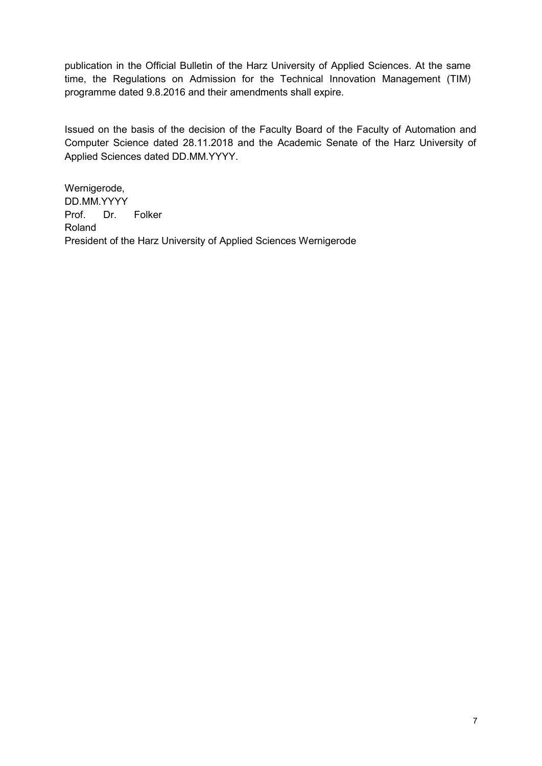publication in the Official Bulletin of the Harz University of Applied Sciences. At the same time, the Regulations on Admission for the Technical Innovation Management (TIM) programme dated 9.8.2016 and their amendments shall expire.

Issued on the basis of the decision of the Faculty Board of the Faculty of Automation and Computer Science dated 28.11.2018 and the Academic Senate of the Harz University of Applied Sciences dated DD.MM.YYYY.

Wernigerode, DD.MM.YYYY Prof. Dr. Folker Roland President of the Harz University of Applied Sciences Wernigerode